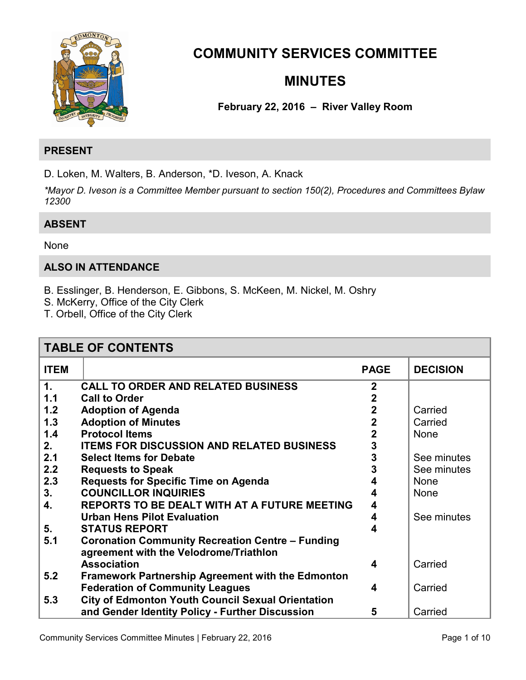

# **COMMUNITY SERVICES COMMITTEE**

# **MINUTES**

# **February 22, 2016 – River Valley Room**

# **PRESENT**

D. Loken, M. Walters, B. Anderson, \*D. Iveson, A. Knack

*\*Mayor D. Iveson is a Committee Member pursuant to section 150(2), Procedures and Committees Bylaw 12300* 

# **ABSENT**

#### None

# **ALSO IN ATTENDANCE**

- B. Esslinger, B. Henderson, E. Gibbons, S. McKeen, M. Nickel, M. Oshry
- S. McKerry, Office of the City Clerk
- T. Orbell, Office of the City Clerk

| <b>TABLE OF CONTENTS</b> |                                                                                                   |                |                 |
|--------------------------|---------------------------------------------------------------------------------------------------|----------------|-----------------|
| <b>ITEM</b>              |                                                                                                   | <b>PAGE</b>    | <b>DECISION</b> |
| $\mathbf 1$ .            | <b>CALL TO ORDER AND RELATED BUSINESS</b>                                                         | $\overline{2}$ |                 |
| 1.1                      | <b>Call to Order</b>                                                                              | $\mathbf 2$    |                 |
| 1.2                      | <b>Adoption of Agenda</b>                                                                         | $\overline{2}$ | Carried         |
| 1.3                      | <b>Adoption of Minutes</b>                                                                        | $\mathbf 2$    | Carried         |
| 1.4                      | <b>Protocol Items</b>                                                                             | $\overline{2}$ | None            |
| 2.                       | <b>ITEMS FOR DISCUSSION AND RELATED BUSINESS</b>                                                  | 3              |                 |
| 2.1                      | <b>Select Items for Debate</b>                                                                    | 3              | See minutes     |
| 2.2                      | <b>Requests to Speak</b>                                                                          | 3              | See minutes     |
| 2.3                      | <b>Requests for Specific Time on Agenda</b>                                                       |                | <b>None</b>     |
| 3.                       | <b>COUNCILLOR INQUIRIES</b>                                                                       | 4              | <b>None</b>     |
| 4.                       | REPORTS TO BE DEALT WITH AT A FUTURE MEETING                                                      | 4              |                 |
|                          | <b>Urban Hens Pilot Evaluation</b>                                                                | 4              | See minutes     |
| 5.                       | <b>STATUS REPORT</b>                                                                              | 4              |                 |
| 5.1                      | <b>Coronation Community Recreation Centre - Funding</b><br>agreement with the Velodrome/Triathlon |                |                 |
|                          | <b>Association</b>                                                                                | 4              | Carried         |
| 5.2                      | <b>Framework Partnership Agreement with the Edmonton</b>                                          |                |                 |
|                          | <b>Federation of Community Leagues</b>                                                            | 4              | Carried         |
| 5.3                      | <b>City of Edmonton Youth Council Sexual Orientation</b>                                          |                |                 |
|                          | and Gender Identity Policy - Further Discussion                                                   | 5              | Carried         |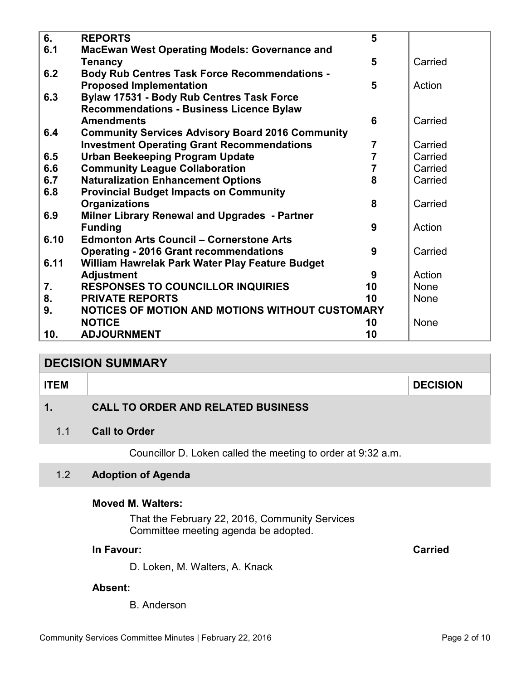<span id="page-1-0"></span>

| 6.   | <b>REPORTS</b>                                          | 5              |             |
|------|---------------------------------------------------------|----------------|-------------|
| 6.1  | <b>MacEwan West Operating Models: Governance and</b>    |                |             |
|      | <b>Tenancy</b>                                          | 5              | Carried     |
| 6.2  | <b>Body Rub Centres Task Force Recommendations -</b>    |                |             |
|      | <b>Proposed Implementation</b>                          | 5              | Action      |
| 6.3  | <b>Bylaw 17531 - Body Rub Centres Task Force</b>        |                |             |
|      | <b>Recommendations - Business Licence Bylaw</b>         |                |             |
|      | <b>Amendments</b>                                       | 6              | Carried     |
| 6.4  | <b>Community Services Advisory Board 2016 Community</b> |                |             |
|      | <b>Investment Operating Grant Recommendations</b>       | $\overline{7}$ | Carried     |
| 6.5  | <b>Urban Beekeeping Program Update</b>                  | $\overline{7}$ | Carried     |
| 6.6  | <b>Community League Collaboration</b>                   | $\overline{7}$ | Carried     |
| 6.7  | <b>Naturalization Enhancement Options</b>               | 8              | Carried     |
| 6.8  | <b>Provincial Budget Impacts on Community</b>           |                |             |
|      | <b>Organizations</b>                                    | 8              | Carried     |
| 6.9  | Milner Library Renewal and Upgrades - Partner           |                |             |
|      | <b>Funding</b>                                          | 9              | Action      |
| 6.10 | <b>Edmonton Arts Council - Cornerstone Arts</b>         |                |             |
|      | <b>Operating - 2016 Grant recommendations</b>           | 9              | Carried     |
| 6.11 | William Hawrelak Park Water Play Feature Budget         |                |             |
|      | <b>Adjustment</b>                                       | 9              | Action      |
| 7.   | <b>RESPONSES TO COUNCILLOR INQUIRIES</b>                | 10             | None        |
| 8.   | <b>PRIVATE REPORTS</b>                                  | 10             | <b>None</b> |
| 9.   | NOTICES OF MOTION AND MOTIONS WITHOUT CUSTOMARY         |                |             |
|      | <b>NOTICE</b>                                           | 10             | None        |
| 10.  | <b>ADJOURNMENT</b>                                      | 10             |             |

# **DECISION SUMMARY**

| <b>ITEM</b> | <b>DECISION</b> |
|-------------|-----------------|
|             |                 |

# **1. CALL TO ORDER AND RELATED BUSINESS**

### 1.1 **Call to Order**

Councillor D. Loken called the meeting to order at 9:32 a.m.

# 1.2 **Adoption of Agenda**

#### **Moved M. Walters:**

That the February 22, 2016, Community Services Committee meeting agenda be adopted.

# **In Favour: Carried**

D. Loken, M. Walters, A. Knack

#### **Absent:**

B. Anderson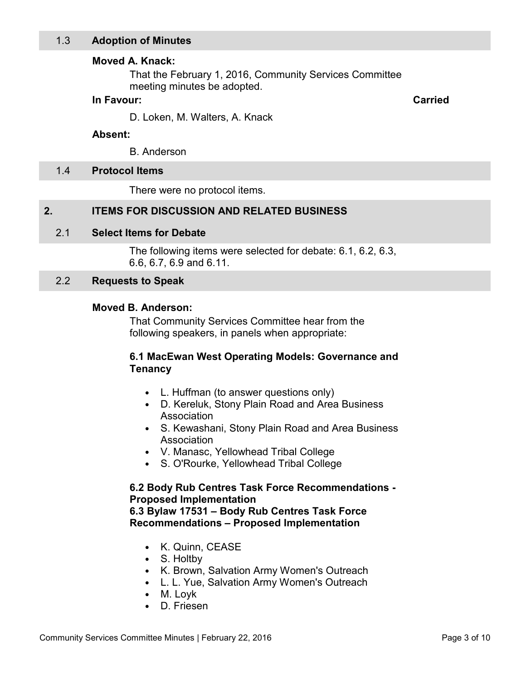## <span id="page-2-0"></span>**Moved A. Knack:**

That the February 1, 2016, Community Services Committee meeting minutes be adopted.

## **In Favour: Carried**

D. Loken, M. Walters, A. Knack

#### **Absent:**

B. Anderson

#### 1.4 **Protocol Items**

There were no protocol items.

# **2. ITEMS FOR DISCUSSION AND RELATED BUSINESS**

#### 2.1 **Select Items for Debate**

The following items were selected for debate: 6.1, 6.2, 6.3, 6.6, 6.7, 6.9 and 6.11.

#### 2.2 **Requests to Speak**

#### **Moved B. Anderson:**

That Community Services Committee hear from the following speakers, in panels when appropriate:

# **6.1 MacEwan West Operating Models: Governance and Tenancy**

- L. Huffman (to answer questions only)
- D. Kereluk, Stony Plain Road and Area Business Association
- S. Kewashani, Stony Plain Road and Area Business Association
- V. Manasc, Yellowhead Tribal College
- S. O'Rourke, Yellowhead Tribal College

# **6.2 Body Rub Centres Task Force Recommendations - Proposed Implementation**

**6.3 Bylaw 17531 – Body Rub Centres Task Force Recommendations – Proposed Implementation** 

- K. Quinn, CEASE
- S. Holtby
- K. Brown, Salvation Army Women's Outreach
- L. L. Yue, Salvation Army Women's Outreach
- M. Loyk
- D. Friesen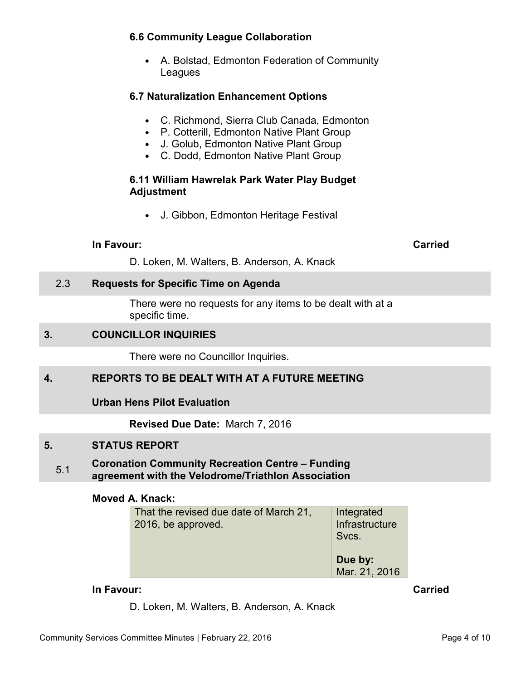# <span id="page-3-0"></span>**6.6 Community League Collaboration**

• A. Bolstad, Edmonton Federation of Community Leagues

# **6.7 Naturalization Enhancement Options**

- C. Richmond, Sierra Club Canada, Edmonton
- P. Cotterill, Edmonton Native Plant Group
- J. Golub, Edmonton Native Plant Group
- C. Dodd, Edmonton Native Plant Group

# **6.11 William Hawrelak Park Water Play Budget Adjustment**

• J. Gibbon, Edmonton Heritage Festival

#### **In Favour:** Carried Carried Carried Carried Carried Carried Carried Carried Carried Carried Carried Carried Carried Carried Carried Carried Carried Carried Carried Carried Carried Carried Carried Carried Carried Carried C

D. Loken, M. Walters, B. Anderson, A. Knack

# 2.3 **Requests for Specific Time on Agenda**

There were no requests for any items to be dealt with at a specific time.

# **3. COUNCILLOR INQUIRIES**

There were no Councillor Inquiries.

# **4. REPORTS TO BE DEALT WITH AT A FUTURE MEETING**

**Urban Hens Pilot Evaluation** 

**Revised Due Date:** March 7, 2016

# **5. STATUS REPORT**

#### 5.1 **Coronation Community Recreation Centre – Funding agreement with the Velodrome/Triathlon Association**

#### **Moved A. Knack:**

| That the revised due date of March 21,<br>2016, be approved. | Integrated<br>Infrastructure<br>Svcs. |  |
|--------------------------------------------------------------|---------------------------------------|--|
|                                                              | Due by:<br>Mar. 21, 2016              |  |

#### **In Favour:** Carried Carried Carried Carried Carried Carried Carried Carried Carried Carried Carried Carried Carried Carried Carried Carried Carried Carried Carried Carried Carried Carried Carried Carried Carried Carried C

D. Loken, M. Walters, B. Anderson, A. Knack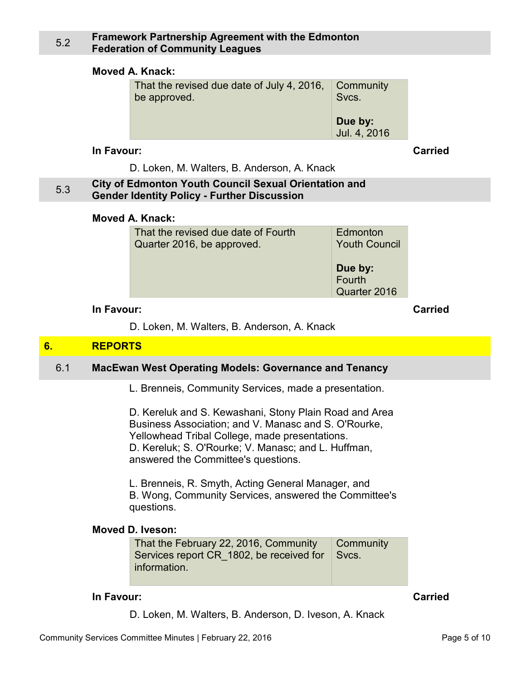#### <span id="page-4-0"></span>5.2 **Framework Partnership Agreement with the Edmonton Federation of Community Leagues**

#### **Moved A. Knack:**

| That the revised due date of July 4, 2016, | Community               |  |
|--------------------------------------------|-------------------------|--|
| be approved.                               | Svcs.                   |  |
|                                            | Due by:<br>Jul. 4, 2016 |  |

#### **In Favour: Carried**

D. Loken, M. Walters, B. Anderson, A. Knack

#### 5.3 **City of Edmonton Youth Council Sexual Orientation and Gender Identity Policy - Further Discussion**

#### **Moved A. Knack:**

| That the revised due date of Fourth | Edmonton                          |
|-------------------------------------|-----------------------------------|
| Quarter 2016, be approved.          | <b>Youth Council</b>              |
|                                     | Due by:<br>Fourth<br>Quarter 2016 |

## **In Favour: Carried**

D. Loken, M. Walters, B. Anderson, A. Knack

# **6. REPORTS**

# 6.1 **MacEwan West Operating Models: Governance and Tenancy**

L. Brenneis, Community Services, made a presentation.

D. Kereluk and S. Kewashani, Stony Plain Road and Area Business Association; and V. Manasc and S. O'Rourke, Yellowhead Tribal College, made presentations. D. Kereluk; S. O'Rourke; V. Manasc; and L. Huffman, answered the Committee's questions.

L. Brenneis, R. Smyth, Acting General Manager, and B. Wong, Community Services, answered the Committee's questions.

#### **Moved D. Iveson:**

That the February 22, 2016, Community Services report CR\_1802, be received for **information Community** Svcs.

#### **In Favour:** Carried Carried Carried Carried Carried Carried Carried Carried Carried Carried Carried Carried Carried Carried Carried Carried Carried Carried Carried Carried Carried Carried Carried Carried Carried Carried C

D. Loken, M. Walters, B. Anderson, D. Iveson, A. Knack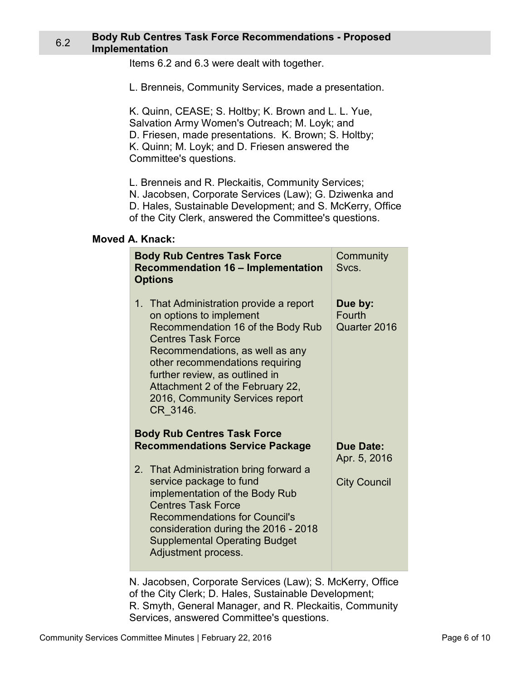#### <span id="page-5-0"></span>6.2 **Body Rub Centres Task Force Recommendations - Proposed Implementation**

Items 6.2 and 6.3 were dealt with together.

L. Brenneis, Community Services, made a presentation.

K. Quinn, CEASE; S. Holtby; K. Brown and L. L. Yue, Salvation Army Women's Outreach; M. Loyk; and D. Friesen, made presentations. K. Brown; S. Holtby; K. Quinn; M. Loyk; and D. Friesen answered the Committee's questions.

L. Brenneis and R. Pleckaitis, Community Services;

N. Jacobsen, Corporate Services (Law); G. Dziwenka and

D. Hales, Sustainable Development; and S. McKerry, Office

of the City Clerk, answered the Committee's questions.

#### **Moved A. Knack:**

| <b>Body Rub Centres Task Force</b><br><b>Recommendation 16 - Implementation</b><br><b>Options</b>                                                                                                                                                                                                                               | Community<br>Svcs.                  |
|---------------------------------------------------------------------------------------------------------------------------------------------------------------------------------------------------------------------------------------------------------------------------------------------------------------------------------|-------------------------------------|
| 1. That Administration provide a report<br>on options to implement<br>Recommendation 16 of the Body Rub<br><b>Centres Task Force</b><br>Recommendations, as well as any<br>other recommendations requiring<br>further review, as outlined in<br>Attachment 2 of the February 22,<br>2016, Community Services report<br>CR 3146. | Due by:<br>Fourth<br>Quarter 2016   |
| <b>Body Rub Centres Task Force</b><br><b>Recommendations Service Package</b>                                                                                                                                                                                                                                                    | <b>Due Date:</b>                    |
| 2. That Administration bring forward a<br>service package to fund<br>implementation of the Body Rub<br><b>Centres Task Force</b><br><b>Recommendations for Council's</b><br>consideration during the 2016 - 2018<br><b>Supplemental Operating Budget</b><br>Adjustment process.                                                 | Apr. 5, 2016<br><b>City Council</b> |

N. Jacobsen, Corporate Services (Law); S. McKerry, Office of the City Clerk; D. Hales, Sustainable Development; R. Smyth, General Manager, and R. Pleckaitis, Community Services, answered Committee's questions.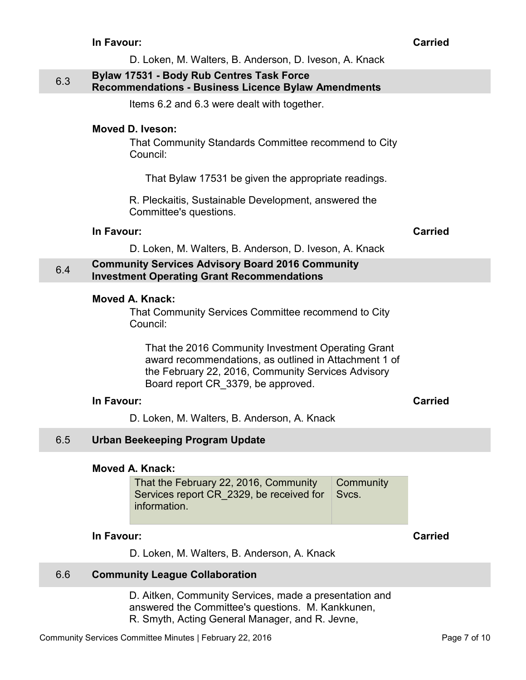<span id="page-6-0"></span>

|     | D. Loken, M. Walters, B. Anderson, D. Iveson, A. Knack                                                                                                                                                                                                                                               |                |
|-----|------------------------------------------------------------------------------------------------------------------------------------------------------------------------------------------------------------------------------------------------------------------------------------------------------|----------------|
| 6.3 | <b>Bylaw 17531 - Body Rub Centres Task Force</b><br><b>Recommendations - Business Licence Bylaw Amendments</b>                                                                                                                                                                                       |                |
|     | Items 6.2 and 6.3 were dealt with together.                                                                                                                                                                                                                                                          |                |
|     | <b>Moved D. Iveson:</b>                                                                                                                                                                                                                                                                              |                |
|     | That Community Standards Committee recommend to City<br>Council:                                                                                                                                                                                                                                     |                |
|     | That Bylaw 17531 be given the appropriate readings.                                                                                                                                                                                                                                                  |                |
|     | R. Pleckaitis, Sustainable Development, answered the<br>Committee's questions.                                                                                                                                                                                                                       |                |
|     | In Favour:                                                                                                                                                                                                                                                                                           | <b>Carried</b> |
|     | D. Loken, M. Walters, B. Anderson, D. Iveson, A. Knack                                                                                                                                                                                                                                               |                |
| 6.4 | <b>Community Services Advisory Board 2016 Community</b><br><b>Investment Operating Grant Recommendations</b>                                                                                                                                                                                         |                |
|     | <b>Moved A. Knack:</b><br>That Community Services Committee recommend to City<br>Council:<br>That the 2016 Community Investment Operating Grant<br>award recommendations, as outlined in Attachment 1 of<br>the February 22, 2016, Community Services Advisory<br>Board report CR 3379, be approved. |                |
|     | In Favour:                                                                                                                                                                                                                                                                                           | <b>Carried</b> |
|     | D. Loken, M. Walters, B. Anderson, A. Knack                                                                                                                                                                                                                                                          |                |
| 6.5 | <b>Urban Beekeeping Program Update</b>                                                                                                                                                                                                                                                               |                |
|     | <b>Moved A. Knack:</b><br>That the February 22, 2016, Community<br>Community<br>Services report CR 2329, be received for<br>Svcs.<br>information.                                                                                                                                                    |                |
|     | In Favour:                                                                                                                                                                                                                                                                                           | <b>Carried</b> |
|     | D. Loken, M. Walters, B. Anderson, A. Knack                                                                                                                                                                                                                                                          |                |
| 6.6 | <b>Community League Collaboration</b>                                                                                                                                                                                                                                                                |                |

D. Aitken, Community Services, made a presentation and answered the Committee's questions. M. Kankkunen, R. Smyth, Acting General Manager, and R. Jevne,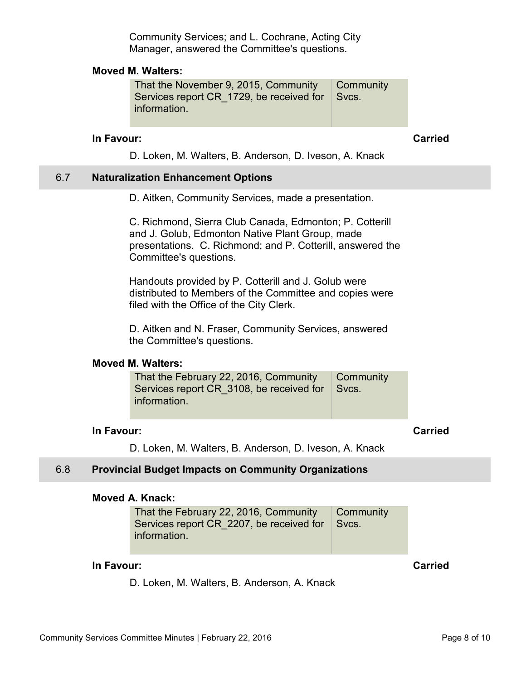Community Services; and L. Cochrane, Acting City Manager, answered the Committee's questions.

#### <span id="page-7-0"></span>**Moved M. Walters:**

That the November 9, 2015, Community Services report CR 1729, be received for information. **Community** Svcs.

#### **In Favour: Carried**

D. Loken, M. Walters, B. Anderson, D. Iveson, A. Knack

#### 6.7 **Naturalization Enhancement Options**

D. Aitken, Community Services, made a presentation.

C. Richmond, Sierra Club Canada, Edmonton; P. Cotterill and J. Golub, Edmonton Native Plant Group, made presentations. C. Richmond; and P. Cotterill, answered the Committee's questions.

Handouts provided by P. Cotterill and J. Golub were distributed to Members of the Committee and copies were filed with the Office of the City Clerk.

D. Aitken and N. Fraser, Community Services, answered the Committee's questions.

#### **Moved M. Walters:**

| That the February 22, 2016, Community $\Box$ Community |  |
|--------------------------------------------------------|--|
| Services report CR 3108, be received for Svcs.         |  |
| information.                                           |  |
|                                                        |  |

# **In Favour: Carried**

D. Loken, M. Walters, B. Anderson, D. Iveson, A. Knack

#### 6.8 **Provincial Budget Impacts on Community Organizations**

#### **Moved A. Knack:**

That the February 22, 2016, Community Services report CR\_2207, be received for information. **Community** Svcs.

#### **In Favour: Carried**

D. Loken, M. Walters, B. Anderson, A. Knack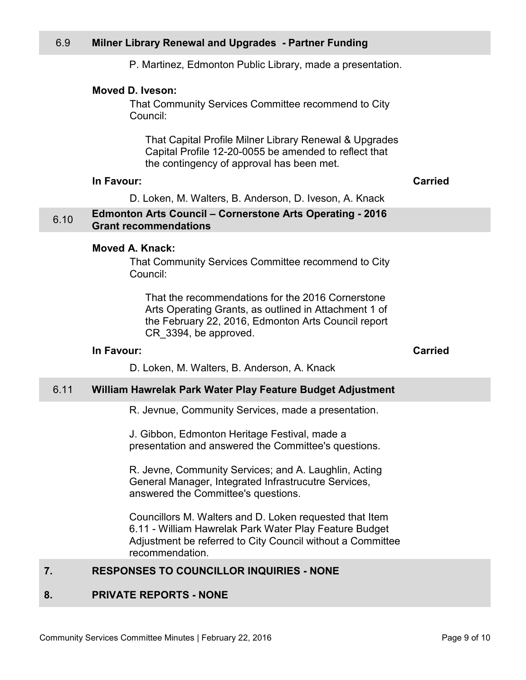P. Martinez, Edmonton Public Library, made a presentation.

#### <span id="page-8-0"></span>**Moved D. Iveson:**

That Community Services Committee recommend to City Council:

That Capital Profile Milner Library Renewal & Upgrades Capital Profile 12-20-0055 be amended to reflect that the contingency of approval has been met.

#### **In Favour: Carried**

D. Loken, M. Walters, B. Anderson, D. Iveson, A. Knack

#### 6.10 **Edmonton Arts Council – Cornerstone Arts Operating - 2016 Grant recommendations**

#### **Moved A. Knack:**

That Community Services Committee recommend to City Council:

That the recommendations for the 2016 Cornerstone Arts Operating Grants, as outlined in Attachment 1 of the February 22, 2016, Edmonton Arts Council report CR\_3394, be approved.

#### **In Favour: Carried**

D. Loken, M. Walters, B. Anderson, A. Knack

#### 6.11 **William Hawrelak Park Water Play Feature Budget Adjustment**

R. Jevnue, Community Services, made a presentation.

J. Gibbon, Edmonton Heritage Festival, made a presentation and answered the Committee's questions.

R. Jevne, Community Services; and A. Laughlin, Acting General Manager, Integrated Infrastrucutre Services, answered the Committee's questions.

Councillors M. Walters and D. Loken requested that Item 6.11 - William Hawrelak Park Water Play Feature Budget Adjustment be referred to City Council without a Committee recommendation.

# **7. RESPONSES TO COUNCILLOR INQUIRIES - NONE**

# **8. PRIVATE REPORTS - NONE**